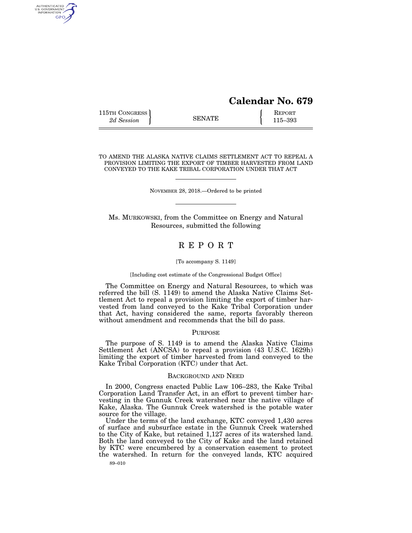# **Calendar No. 679**

115TH CONGRESS **REPORT** 2d Session **115–393** 

AUTHENTICATED<br>U.S. GOVERNMENT<br>INFORMATION GPO

TO AMEND THE ALASKA NATIVE CLAIMS SETTLEMENT ACT TO REPEAL A PROVISION LIMITING THE EXPORT OF TIMBER HARVESTED FROM LAND CONVEYED TO THE KAKE TRIBAL CORPORATION UNDER THAT ACT

NOVEMBER 28, 2018.—Ordered to be printed

Ms. MURKOWSKI, from the Committee on Energy and Natural Resources, submitted the following

## R E P O R T

#### [To accompany S. 1149]

#### [Including cost estimate of the Congressional Budget Office]

The Committee on Energy and Natural Resources, to which was referred the bill (S. 1149) to amend the Alaska Native Claims Settlement Act to repeal a provision limiting the export of timber harvested from land conveyed to the Kake Tribal Corporation under that Act, having considered the same, reports favorably thereon without amendment and recommends that the bill do pass.

#### PURPOSE

The purpose of S. 1149 is to amend the Alaska Native Claims Settlement Act (ANCSA) to repeal a provision (43 U.S.C. 1629h) limiting the export of timber harvested from land conveyed to the Kake Tribal Corporation (KTC) under that Act.

#### BACKGROUND AND NEED

In 2000, Congress enacted Public Law 106–283, the Kake Tribal Corporation Land Transfer Act, in an effort to prevent timber harvesting in the Gunnuk Creek watershed near the native village of Kake, Alaska. The Gunnuk Creek watershed is the potable water source for the village.

89–010 Under the terms of the land exchange, KTC conveyed 1,430 acres of surface and subsurface estate in the Gunnuk Creek watershed to the City of Kake, but retained 1,127 acres of its watershed land. Both the land conveyed to the City of Kake and the land retained by KTC were encumbered by a conservation easement to protect the watershed. In return for the conveyed lands, KTC acquired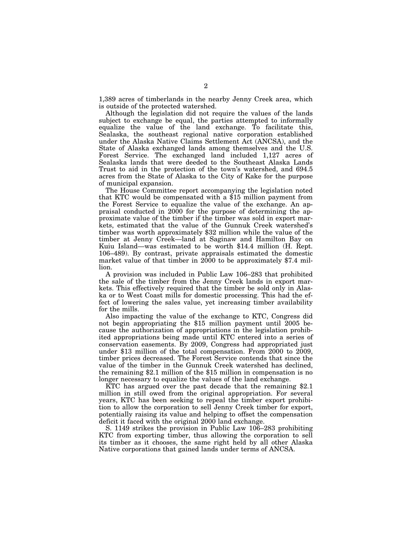1,389 acres of timberlands in the nearby Jenny Creek area, which is outside of the protected watershed.

Although the legislation did not require the values of the lands subject to exchange be equal, the parties attempted to informally equalize the value of the land exchange. To facilitate this, Sealaska, the southeast regional native corporation established under the Alaska Native Claims Settlement Act (ANCSA), and the State of Alaska exchanged lands among themselves and the U.S. Forest Service. The exchanged land included 1,127 acres of Sealaska lands that were deeded to the Southeast Alaska Lands Trust to aid in the protection of the town's watershed, and 694.5 acres from the State of Alaska to the City of Kake for the purpose of municipal expansion.

The House Committee report accompanying the legislation noted that KTC would be compensated with a \$15 million payment from the Forest Service to equalize the value of the exchange. An appraisal conducted in 2000 for the purpose of determining the approximate value of the timber if the timber was sold in export markets, estimated that the value of the Gunnuk Creek watershed's timber was worth approximately \$32 million while the value of the timber at Jenny Creek—land at Saginaw and Hamilton Bay on Kuiu Island—was estimated to be worth \$14.4 million (H. Rept. 106–489). By contrast, private appraisals estimated the domestic market value of that timber in  $2000$  to be approximately \$7.4 million.

A provision was included in Public Law 106–283 that prohibited the sale of the timber from the Jenny Creek lands in export markets. This effectively required that the timber be sold only in Alaska or to West Coast mills for domestic processing. This had the effect of lowering the sales value, yet increasing timber availability for the mills.

Also impacting the value of the exchange to KTC, Congress did not begin appropriating the \$15 million payment until 2005 because the authorization of appropriations in the legislation prohibited appropriations being made until KTC entered into a series of conservation easements. By 2009, Congress had appropriated just under \$13 million of the total compensation. From 2000 to 2009, timber prices decreased. The Forest Service contends that since the value of the timber in the Gunnuk Creek watershed has declined, the remaining \$2.1 million of the \$15 million in compensation is no longer necessary to equalize the values of the land exchange.

KTC has argued over the past decade that the remaining \$2.1 million in still owed from the original appropriation. For several years, KTC has been seeking to repeal the timber export prohibition to allow the corporation to sell Jenny Creek timber for export, potentially raising its value and helping to offset the compensation deficit it faced with the original 2000 land exchange.

S. 1149 strikes the provision in Public Law 106–283 prohibiting KTC from exporting timber, thus allowing the corporation to sell its timber as it chooses, the same right held by all other Alaska Native corporations that gained lands under terms of ANCSA.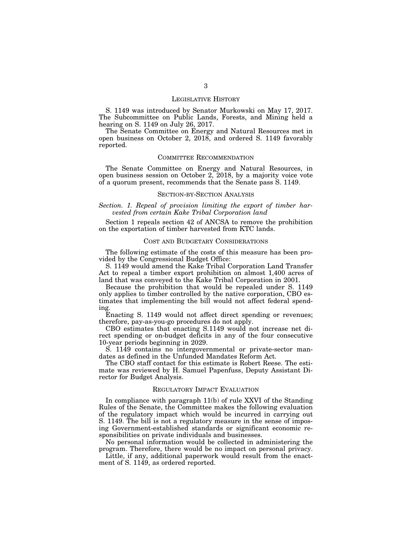#### LEGISLATIVE HISTORY

S. 1149 was introduced by Senator Murkowski on May 17, 2017. The Subcommittee on Public Lands, Forests, and Mining held a hearing on S. 1149 on July 26, 2017.

The Senate Committee on Energy and Natural Resources met in open business on October 2, 2018, and ordered S. 1149 favorably reported.

#### COMMITTEE RECOMMENDATION

The Senate Committee on Energy and Natural Resources, in open business session on October 2, 2018, by a majority voice vote of a quorum present, recommends that the Senate pass S. 1149.

#### SECTION-BY-SECTION ANALYSIS

#### *Section. 1. Repeal of provision limiting the export of timber harvested from certain Kake Tribal Corporation land*

Section 1 repeals section 42 of ANCSA to remove the prohibition on the exportation of timber harvested from KTC lands.

#### COST AND BUDGETARY CONSIDERATIONS

The following estimate of the costs of this measure has been provided by the Congressional Budget Office:

S. 1149 would amend the Kake Tribal Corporation Land Transfer Act to repeal a timber export prohibition on almost 1,400 acres of land that was conveyed to the Kake Tribal Corporation in 2001.

Because the prohibition that would be repealed under S. 1149 only applies to timber controlled by the native corporation, CBO estimates that implementing the bill would not affect federal spending.

Enacting S. 1149 would not affect direct spending or revenues; therefore, pay-as-you-go procedures do not apply.

CBO estimates that enacting S.1149 would not increase net direct spending or on-budget deficits in any of the four consecutive 10-year periods beginning in 2029.

S. 1149 contains no intergovernmental or private-sector mandates as defined in the Unfunded Mandates Reform Act.

The CBO staff contact for this estimate is Robert Reese. The estimate was reviewed by H. Samuel Papenfuss, Deputy Assistant Director for Budget Analysis.

#### REGULATORY IMPACT EVALUATION

In compliance with paragraph 11(b) of rule XXVI of the Standing Rules of the Senate, the Committee makes the following evaluation of the regulatory impact which would be incurred in carrying out S. 1149. The bill is not a regulatory measure in the sense of imposing Government-established standards or significant economic responsibilities on private individuals and businesses.

No personal information would be collected in administering the program. Therefore, there would be no impact on personal privacy.

Little, if any, additional paperwork would result from the enactment of S. 1149, as ordered reported.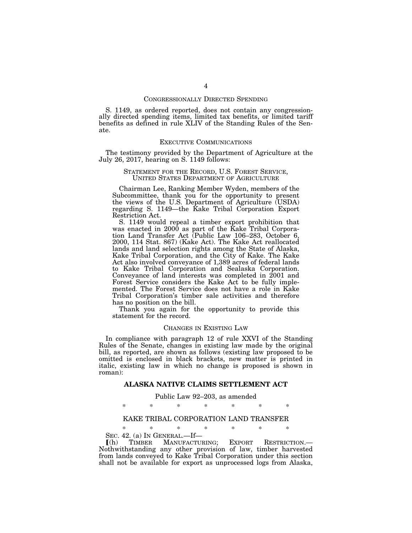#### CONGRESSIONALLY DIRECTED SPENDING

S. 1149, as ordered reported, does not contain any congressionally directed spending items, limited tax benefits, or limited tariff benefits as defined in rule XLIV of the Standing Rules of the Senate.

#### EXECUTIVE COMMUNICATIONS

The testimony provided by the Department of Agriculture at the July 26, 2017, hearing on S. 1149 follows:

# STATEMENT FOR THE RECORD, U.S. FOREST SERVICE, UNITED STATES DEPARTMENT OF AGRICULTURE

Chairman Lee, Ranking Member Wyden, members of the Subcommittee, thank you for the opportunity to present the views of the U.S. Department of Agriculture (USDA) regarding S. 1149—the Kake Tribal Corporation Export Restriction Act.

S. 1149 would repeal a timber export prohibition that was enacted in 2000 as part of the Kake Tribal Corporation Land Transfer Act (Public Law 106–283, October 6, 2000, 114 Stat. 867) (Kake Act). The Kake Act reallocated lands and land selection rights among the State of Alaska, Kake Tribal Corporation, and the City of Kake. The Kake Act also involved conveyance of 1,389 acres of federal lands to Kake Tribal Corporation and Sealaska Corporation. Conveyance of land interests was completed in 2001 and Forest Service considers the Kake Act to be fully implemented. The Forest Service does not have a role in Kake Tribal Corporation's timber sale activities and therefore has no position on the bill.

Thank you again for the opportunity to provide this statement for the record.

#### CHANGES IN EXISTING LAW

In compliance with paragraph 12 of rule XXVI of the Standing Rules of the Senate, changes in existing law made by the original bill, as reported, are shown as follows (existing law proposed to be omitted is enclosed in black brackets, new matter is printed in italic, existing law in which no change is proposed is shown in roman):

#### **ALASKA NATIVE CLAIMS SETTLEMENT ACT**

#### Public Law 92–203, as amended

\* \* \* \* \* \* \*

### KAKE TRIBAL CORPORATION LAND TRANSFER

\* \* \* \* \* \* \*

SEC. 42. (a) IN GENERAL.—If—<br> **[(h)** TIMBER MANUFACTU

ø(h) TIMBER MANUFACTURING; EXPORT RESTRICTION.— Nothwithstanding any other provision of law, timber harvested from lands conveyed to Kake Tribal Corporation under this section shall not be available for export as unprocessed logs from Alaska,